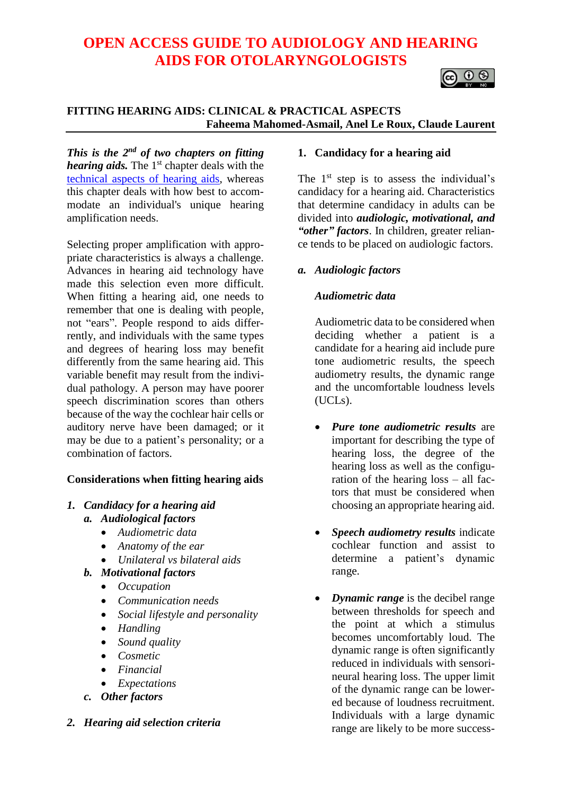# **OPEN ACCESS GUIDE TO AUDIOLOGY AND HEARING AIDS FOR OTOLARYNGOLOGISTS**



# **FITTING HEARING AIDS: CLINICAL & PRACTICAL ASPECTS Faheema Mahomed-Asmail, Anel Le Roux, Claude Laurent**

*This is the 2 nd of two chapters on fitting hearing aids*. The 1<sup>st</sup> [chapter deals with the](https://vula.uct.ac.za/access/content/group/27b5cb1b-1b65-4280-9437-a9898ddd4c40/Fitting%20hearing%20aids%20-%20Technical%20aspects.pdf) [technical aspects of hearing aids,](https://vula.uct.ac.za/access/content/group/27b5cb1b-1b65-4280-9437-a9898ddd4c40/Fitting%20hearing%20aids%20-%20Technical%20aspects.pdf) whereas this chapter deals with how best to accommodate an individual's unique hearing amplification needs.

Selecting proper amplification with appropriate characteristics is always a challenge. Advances in hearing aid technology have made this selection even more difficult. When fitting a hearing aid, one needs to remember that one is dealing with people, not "ears". People respond to aids differrently, and individuals with the same types and degrees of hearing loss may benefit differently from the same hearing aid. This variable benefit may result from the individual pathology. A person may have poorer speech discrimination scores than others because of the way the cochlear hair cells or auditory nerve have been damaged; or it may be due to a patient's personality; or a combination of factors.

# **Considerations when fitting hearing aids**

# *1. Candidacy for a hearing aid a. Audiological factors*

- *Audiometric data*
- *Anatomy of the ear*
- *Unilateral vs bilateral aids*
- *b. Motivational factors*
	- *Occupation*
	- *Communication needs*
	- *Social lifestyle and personality*
	- *Handling*
	- *Sound quality*
	- *Cosmetic*
	- *Financial*
	- *Expectations*
- *c. Other factors*

# *2. Hearing aid selection criteria*

### **1. Candidacy for a hearing aid**

The  $1<sup>st</sup>$  step is to assess the individual's candidacy for a hearing aid. Characteristics that determine candidacy in adults can be divided into *audiologic, motivational, and "other" factors*. In children, greater reliance tends to be placed on audiologic factors.

### *a. Audiologic factors*

### *Audiometric data*

Audiometric data to be considered when deciding whether a patient is a candidate for a hearing aid include pure tone audiometric results, the speech audiometry results, the dynamic range and the uncomfortable loudness levels (UCLs).

- *Pure tone audiometric results* are important for describing the type of hearing loss, the degree of the hearing loss as well as the configuration of the hearing loss – all factors that must be considered when choosing an appropriate hearing aid.
- *Speech audiometry results* indicate cochlear function and assist to determine a patient's dynamic range.
- *Dynamic range* is the decibel range between thresholds for speech and the point at which a stimulus becomes uncomfortably loud. The dynamic range is often significantly reduced in individuals with sensorineural hearing loss. The upper limit of the dynamic range can be lowered because of loudness recruitment. Individuals with a large dynamic range are likely to be more success-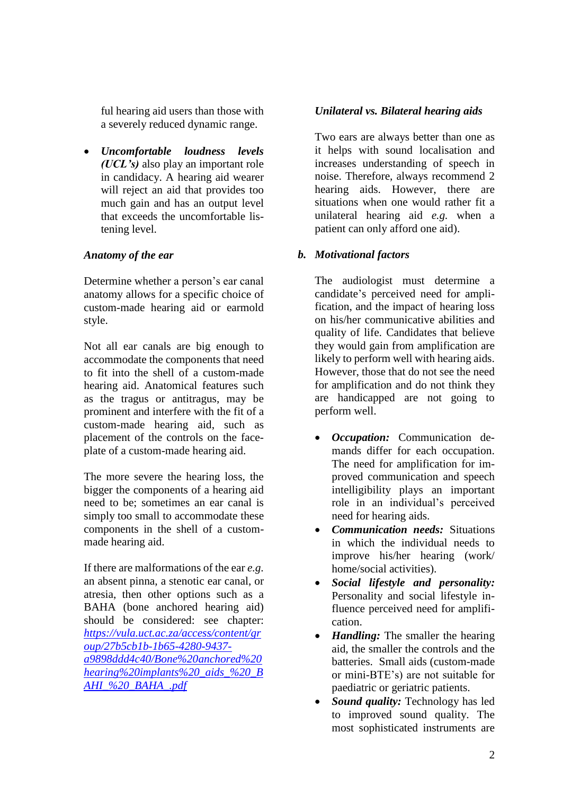ful hearing aid users than those with a severely reduced dynamic range.

• *Uncomfortable loudness levels (UCL's)* also play an important role in candidacy. A hearing aid wearer will reject an aid that provides too much gain and has an output level that exceeds the uncomfortable listening level.

# *Anatomy of the ear*

Determine whether a person's ear canal anatomy allows for a specific choice of custom-made hearing aid or earmold style.

Not all ear canals are big enough to accommodate the components that need to fit into the shell of a custom-made hearing aid. Anatomical features such as the tragus or antitragus, may be prominent and interfere with the fit of a custom-made hearing aid, such as placement of the controls on the faceplate of a custom-made hearing aid.

The more severe the hearing loss, the bigger the components of a hearing aid need to be; sometimes an ear canal is simply too small to accommodate these components in the shell of a custommade hearing aid.

If there are malformations of the ear *e.g.* an absent pinna, a stenotic ear canal, or atresia, then other options such as a BAHA (bone anchored hearing aid) should be considered: see chapter: *[https://vula.uct.ac.za/access/content/gr](https://vula.uct.ac.za/access/content/group/27b5cb1b-1b65-4280-9437-a9898ddd4c40/Bone%20anchored%20hearing%20implants%20_aids_%20_BAHI_%20_BAHA_.pdf) [oup/27b5cb1b-1b65-4280-9437](https://vula.uct.ac.za/access/content/group/27b5cb1b-1b65-4280-9437-a9898ddd4c40/Bone%20anchored%20hearing%20implants%20_aids_%20_BAHI_%20_BAHA_.pdf) [a9898ddd4c40/Bone%20anchored%20](https://vula.uct.ac.za/access/content/group/27b5cb1b-1b65-4280-9437-a9898ddd4c40/Bone%20anchored%20hearing%20implants%20_aids_%20_BAHI_%20_BAHA_.pdf) [hearing%20implants%20\\_aids\\_%20\\_B](https://vula.uct.ac.za/access/content/group/27b5cb1b-1b65-4280-9437-a9898ddd4c40/Bone%20anchored%20hearing%20implants%20_aids_%20_BAHI_%20_BAHA_.pdf) [AHI\\_%20\\_BAHA\\_.pdf](https://vula.uct.ac.za/access/content/group/27b5cb1b-1b65-4280-9437-a9898ddd4c40/Bone%20anchored%20hearing%20implants%20_aids_%20_BAHI_%20_BAHA_.pdf)*

# *Unilateral vs. Bilateral hearing aids*

Two ears are always better than one as it helps with sound localisation and increases understanding of speech in noise. Therefore, always recommend 2 hearing aids. However, there are situations when one would rather fit a unilateral hearing aid *e.g.* when a patient can only afford one aid).

# *b. Motivational factors*

The audiologist must determine a candidate's perceived need for amplification, and the impact of hearing loss on his/her communicative abilities and quality of life. Candidates that believe they would gain from amplification are likely to perform well with hearing aids. However, those that do not see the need for amplification and do not think they are handicapped are not going to perform well.

- *Occupation:* Communication demands differ for each occupation. The need for amplification for improved communication and speech intelligibility plays an important role in an individual's perceived need for hearing aids.
- *Communication needs:* Situations in which the individual needs to improve his/her hearing (work/ home/social activities).
- *Social lifestyle and personality:*  Personality and social lifestyle influence perceived need for amplification.
- *Handling:* The smaller the hearing aid, the smaller the controls and the batteries. Small aids (custom-made or mini-BTE's) are not suitable for paediatric or geriatric patients.
- *Sound quality:* Technology has led to improved sound quality. The most sophisticated instruments are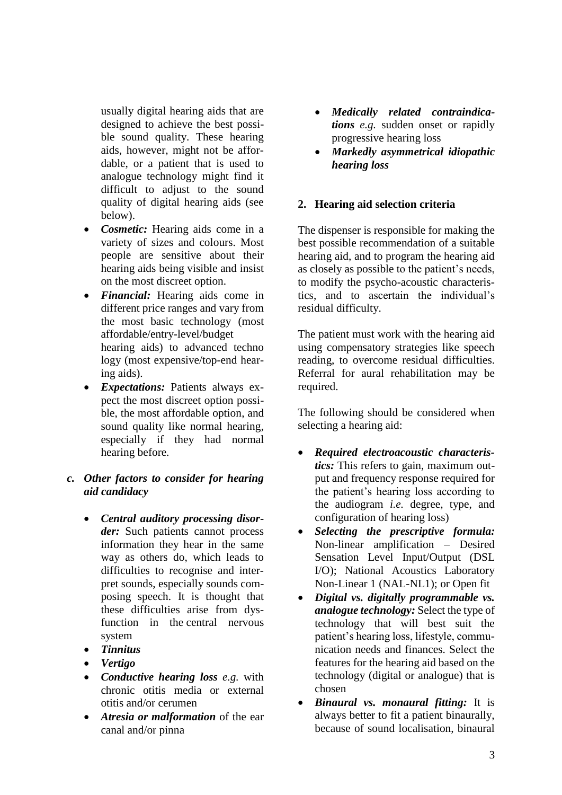usually digital hearing aids that are designed to achieve the best possible sound quality. These hearing aids, however, might not be affordable, or a patient that is used to analogue technology might find it difficult to adjust to the sound quality of digital hearing aids (see below).

- *Cosmetic:* Hearing aids come in a variety of sizes and colours. Most people are sensitive about their hearing aids being visible and insist on the most discreet option.
- *Financial:* Hearing aids come in different price ranges and vary from the most basic technology (most affordable/entry-level/budget hearing aids) to advanced techno logy (most expensive/top-end hearing aids).
- *Expectations:* Patients always expect the most discreet option possible, the most affordable option, and sound quality like normal hearing, especially if they had normal hearing before.

# *c. Other factors to consider for hearing aid candidacy*

- *Central auditory processing disorder:* Such patients cannot process information they hear in the same way as others do, which leads to difficulties to recognise and interpret sounds, especially sounds composing speech. It is thought that these difficulties arise from dysfunction in the [central nervous](https://en.m.wikipedia.org/wiki/Central_nervous_system)  [system](https://en.m.wikipedia.org/wiki/Central_nervous_system)
- *Tinnitus*
- *Vertigo*
- *Conductive hearing loss e.g.* with chronic otitis media or external otitis and/or cerumen
- *Atresia or malformation* of the ear canal and/or pinna
- *Medically related contraindications e.g.* sudden onset or rapidly progressive hearing loss
- *Markedly asymmetrical idiopathic hearing loss*

# **2. Hearing aid selection criteria**

The dispenser is responsible for making the best possible recommendation of a suitable hearing aid, and to program the hearing aid as closely as possible to the patient's needs, to modify the psycho-acoustic characteristics, and to ascertain the individual's residual difficulty.

The patient must work with the hearing aid using compensatory strategies like speech reading, to overcome residual difficulties. Referral for aural rehabilitation may be required.

The following should be considered when selecting a hearing aid:

- *Required electroacoustic characteristics:* This refers to gain, maximum output and frequency response required for the patient's hearing loss according to the audiogram *i.e.* degree, type, and configuration of hearing loss)
- *Selecting the prescriptive formula:* Non-linear amplification – Desired Sensation Level Input/Output (DSL I/O); National Acoustics Laboratory Non-Linear 1 (NAL-NL1); or Open fit
- *Digital vs. digitally programmable vs. analogue technology:* Select the type of technology that will best suit the patient's hearing loss, lifestyle, communication needs and finances. Select the features for the hearing aid based on the technology (digital or analogue) that is chosen
- *Binaural vs. monaural fitting:* It is always better to fit a patient binaurally, because of sound localisation, binaural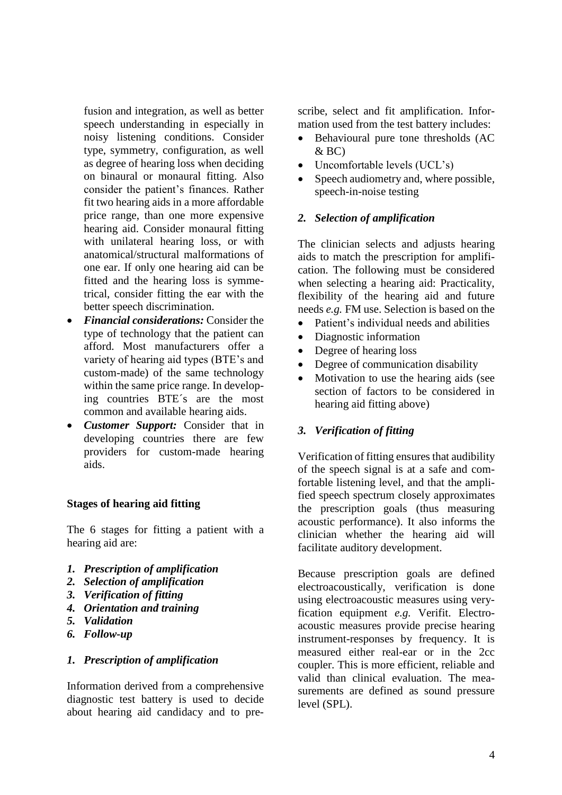fusion and integration, as well as better speech understanding in especially in noisy listening conditions. Consider type, symmetry, configuration, as well as degree of hearing loss when deciding on binaural or monaural fitting. Also consider the patient's finances. Rather fit two hearing aids in a more affordable price range, than one more expensive hearing aid. Consider monaural fitting with unilateral hearing loss, or with anatomical/structural malformations of one ear. If only one hearing aid can be fitted and the hearing loss is symmetrical, consider fitting the ear with the better speech discrimination.

- *Financial considerations:* Consider the type of technology that the patient can afford. Most manufacturers offer a variety of hearing aid types (BTE's and custom-made) of the same technology within the same price range. In developing countries BTE´s are the most common and available hearing aids.
- *Customer Support:* Consider that in developing countries there are few providers for custom-made hearing aids.

### **Stages of hearing aid fitting**

The 6 stages for fitting a patient with a hearing aid are:

- *1. Prescription of amplification*
- *2. Selection of amplification*
- *3. Verification of fitting*
- *4. Orientation and training*
- *5. Validation*
- *6. Follow-up*

### *1. Prescription of amplification*

Information derived from a comprehensive diagnostic test battery is used to decide about hearing aid candidacy and to prescribe, select and fit amplification. Information used from the test battery includes:

- Behavioural pure tone thresholds (AC  $&$  BC)
- Uncomfortable levels (UCL's)
- Speech audiometry and, where possible, speech-in-noise testing

### *2. Selection of amplification*

The clinician selects and adjusts hearing aids to match the prescription for amplification. The following must be considered when selecting a hearing aid: Practicality, flexibility of the hearing aid and future needs *e.g.* FM use. Selection is based on the

- Patient's individual needs and abilities
- Diagnostic information
- Degree of hearing loss
- Degree of communication disability
- Motivation to use the hearing aids (see section of factors to be considered in hearing aid fitting above)

# *3. Verification of fitting*

Verification of fitting ensures that audibility of the speech signal is at a safe and comfortable listening level, and that the amplified speech spectrum closely approximates the prescription goals (thus measuring acoustic performance). It also informs the clinician whether the hearing aid will facilitate auditory development.

Because prescription goals are defined electroacoustically, verification is done using electroacoustic measures using veryfication equipment *e.g.* Verifit. Electroacoustic measures provide precise hearing instrument-responses by frequency. It is measured either real-ear or in the 2cc coupler. This is more efficient, reliable and valid than clinical evaluation. The measurements are defined as sound pressure level (SPL).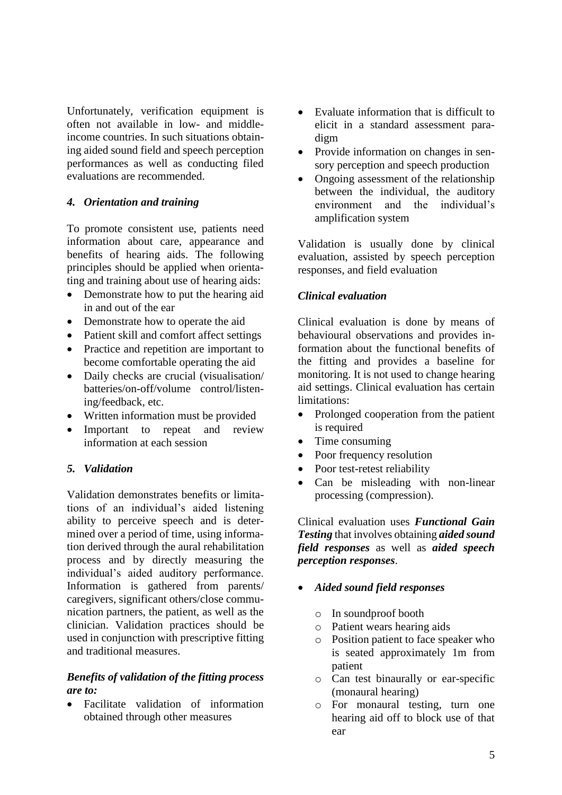Unfortunately, verification equipment is often not available in low- and middleincome countries. In such situations obtaining aided sound field and speech perception performances as well as conducting filed evaluations are recommended.

### *4. Orientation and training*

To promote consistent use, patients need information about care, appearance and benefits of hearing aids. The following principles should be applied when orientating and training about use of hearing aids:

- Demonstrate how to put the hearing aid in and out of the ear
- Demonstrate how to operate the aid
- Patient skill and comfort affect settings
- Practice and repetition are important to become comfortable operating the aid
- Daily checks are crucial (visualisation/ batteries/on-off/volume control/listening/feedback, etc.
- Written information must be provided
- Important to repeat and review information at each session

# *5. Validation*

Validation demonstrates benefits or limitations of an individual's aided listening ability to perceive speech and is determined over a period of time, using information derived through the aural rehabilitation process and by directly measuring the individual's aided auditory performance. Information is gathered from parents/ caregivers, significant others/close communication partners, the patient, as well as the clinician. Validation practices should be used in conjunction with prescriptive fitting and traditional measures.

### *Benefits of validation of the fitting process are to:*

• Facilitate validation of information obtained through other measures

- Evaluate information that is difficult to elicit in a standard assessment paradigm
- Provide information on changes in sensory perception and speech production
- Ongoing assessment of the relationship between the individual, the auditory environment and the individual's amplification system

Validation is usually done by clinical evaluation, assisted by speech perception responses, and field evaluation

### *Clinical evaluation*

Clinical evaluation is done by means of behavioural observations and provides information about the functional benefits of the fitting and provides a baseline for monitoring. It is not used to change hearing aid settings. Clinical evaluation has certain limitations:

- Prolonged cooperation from the patient is required
- Time consuming
- Poor frequency resolution
- Poor test-retest reliability
- Can be misleading with non-linear processing (compression).

Clinical evaluation uses *Functional Gain Testing* that involves obtaining *aided sound field responses* as well as *aided speech perception responses*.

# • *Aided sound field responses*

- o In soundproof booth
- o Patient wears hearing aids
- o Position patient to face speaker who is seated approximately 1m from patient
- o Can test binaurally or ear-specific (monaural hearing)
- o For monaural testing, turn one hearing aid off to block use of that ear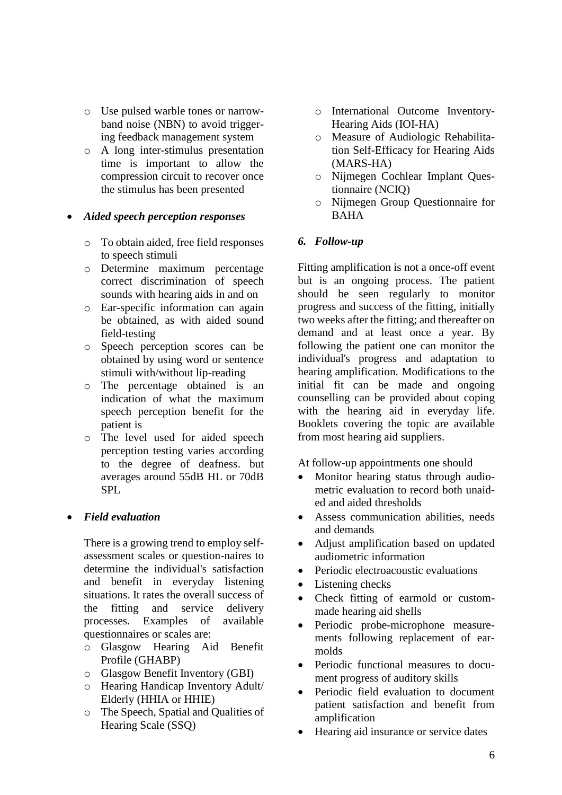- o Use pulsed warble tones or narrowband noise (NBN) to avoid triggering feedback management system
- o A long inter-stimulus presentation time is important to allow the compression circuit to recover once the stimulus has been presented

# • *Aided speech perception responses*

- o To obtain aided, free field responses to speech stimuli
- o Determine maximum percentage correct discrimination of speech sounds with hearing aids in and on
- o Ear-specific information can again be obtained, as with aided sound field-testing
- o Speech perception scores can be obtained by using word or sentence stimuli with/without lip-reading
- o The percentage obtained is an indication of what the maximum speech perception benefit for the patient is
- o The level used for aided speech perception testing varies according to the degree of deafness. but averages around 55dB HL or 70dB SPL

# • *Field evaluation*

There is a growing trend to employ selfassessment scales or question-naires to determine the individual's satisfaction and benefit in everyday listening situations. It rates the overall success of the fitting and service delivery processes. Examples of available questionnaires or scales are:

- o Glasgow Hearing Aid Benefit Profile (GHABP)
- o Glasgow Benefit Inventory (GBI)
- o Hearing Handicap Inventory Adult/ Elderly (HHIA or HHIE)
- o The Speech, Spatial and Qualities of Hearing Scale (SSQ)
- o International Outcome Inventory-Hearing Aids (IOI-HA)
- o Measure of Audiologic Rehabilitation Self-Efficacy for Hearing Aids (MARS-HA)
- o Nijmegen Cochlear Implant Questionnaire (NCIQ)
- o Nijmegen Group Questionnaire for BAHA

# *6. Follow-up*

Fitting amplification is not a once-off event but is an ongoing process. The patient should be seen regularly to monitor progress and success of the fitting, initially two weeks after the fitting; and thereafter on demand and at least once a year. By following the patient one can monitor the individual's progress and adaptation to hearing amplification. Modifications to the initial fit can be made and ongoing counselling can be provided about coping with the hearing aid in everyday life. Booklets covering the topic are available from most hearing aid suppliers.

At follow-up appointments one should

- Monitor hearing status through audiometric evaluation to record both unaided and aided thresholds
- Assess communication abilities, needs and demands
- Adjust amplification based on updated audiometric information
- Periodic electroacoustic evaluations
- Listening checks
- Check fitting of earmold or custommade hearing aid shells
- Periodic probe-microphone measurements following replacement of earmolds
- Periodic functional measures to document progress of auditory skills
- Periodic field evaluation to document patient satisfaction and benefit from amplification
- Hearing aid insurance or service dates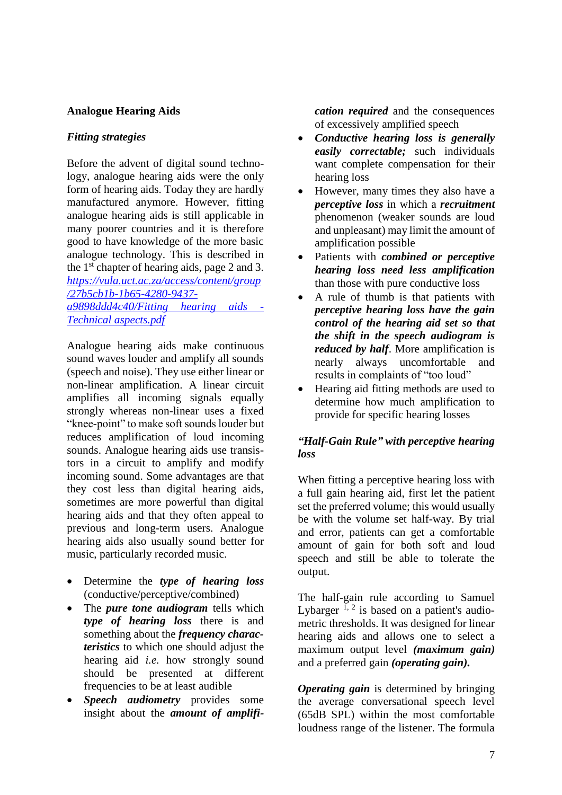# **Analogue Hearing Aids**

# *Fitting strategies*

Before the advent of digital sound technology, analogue hearing aids were the only form of hearing aids. Today they are hardly manufactured anymore. However, fitting analogue hearing aids is still applicable in many poorer countries and it is therefore good to have knowledge of the more basic analogue technology. This is described in the 1<sup>st</sup> chapter of hearing aids, page 2 and 3. *[https://vula.uct.ac.za/access/content/group](https://vula.uct.ac.za/access/content/group/27b5cb1b-1b65-4280-9437-a9898ddd4c40/Fitting%20hearing%20aids%20-%20Technical%20aspects.pdf) [/27b5cb1b-1b65-4280-9437](https://vula.uct.ac.za/access/content/group/27b5cb1b-1b65-4280-9437-a9898ddd4c40/Fitting%20hearing%20aids%20-%20Technical%20aspects.pdf) [a9898ddd4c40/Fitting hearing aids -](https://vula.uct.ac.za/access/content/group/27b5cb1b-1b65-4280-9437-a9898ddd4c40/Fitting%20hearing%20aids%20-%20Technical%20aspects.pdf) [Technical aspects.pdf](https://vula.uct.ac.za/access/content/group/27b5cb1b-1b65-4280-9437-a9898ddd4c40/Fitting%20hearing%20aids%20-%20Technical%20aspects.pdf)* 

Analogue hearing aids make continuous sound waves louder and amplify all sounds (speech and noise). They use either linear or non-linear amplification. A linear circuit amplifies all incoming signals equally strongly whereas non-linear uses a fixed "knee-point" to make soft sounds louder but reduces amplification of loud incoming sounds. Analogue hearing aids use transistors in a circuit to amplify and modify incoming sound. Some advantages are that they cost less than digital hearing aids, sometimes are more powerful than digital hearing aids and that they often appeal to previous and long-term users. Analogue hearing aids also usually sound better for music, particularly recorded music.

- Determine the *type of hearing loss* (conductive/perceptive/combined)
- The *pure tone audiogram* tells which *type of hearing loss* there is and something about the *frequency characteristics* to which one should adjust the hearing aid *i.e.* how strongly sound should be presented at different frequencies to be at least audible
- *Speech audiometry* provides some insight about the *amount of amplifi-*

*cation required* and the consequences of excessively amplified speech

- *Conductive hearing loss is generally easily correctable;* such individuals want complete compensation for their hearing loss
- However, many times they also have a *perceptive loss* in which a *recruitment* phenomenon (weaker sounds are loud and unpleasant) may limit the amount of amplification possible
- Patients with *combined or perceptive hearing loss need less amplification* than those with pure conductive loss
- A rule of thumb is that patients with *perceptive hearing loss have the gain control of the hearing aid set so that the shift in the speech audiogram is reduced by half*. More amplification is nearly always uncomfortable and results in complaints of "too loud"
- Hearing aid fitting methods are used to determine how much amplification to provide for specific hearing losses

# *"Half-Gain Rule" with perceptive hearing loss*

When fitting a perceptive hearing loss with a full gain hearing aid, first let the patient set the preferred volume; this would usually be with the volume set half-way. By trial and error, patients can get a comfortable amount of gain for both soft and loud speech and still be able to tolerate the output.

The half-gain rule according to Samuel Lybarger  $^{1, 2}$  is based on a patient's audiometric thresholds. It was designed for linear hearing aids and allows one to select a maximum output level *(maximum gain)* and a preferred gain *(operating gain).*

*Operating gain* is determined by bringing the average conversational speech level (65dB SPL) within the most comfortable loudness range of the listener. The formula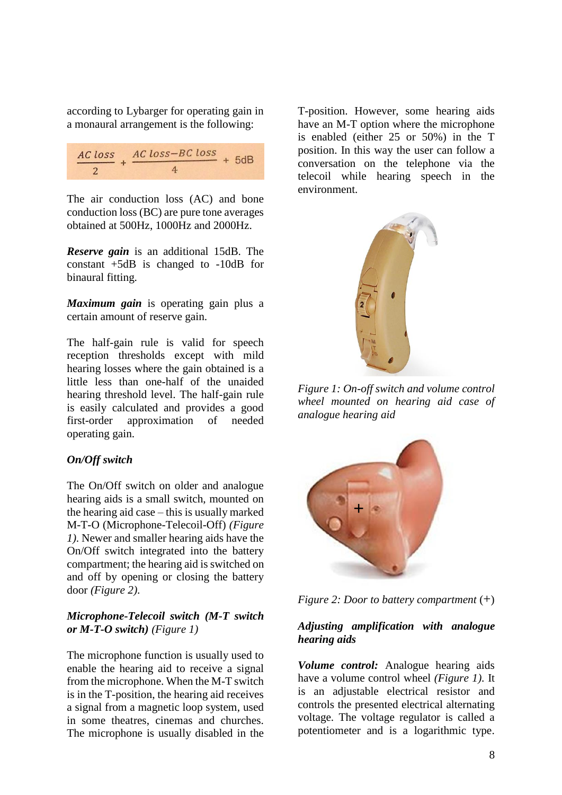according to Lybarger for operating gain in a monaural arrangement is the following:

| AC loss AC loss-BC loss |  | $+5dB$ |  |
|-------------------------|--|--------|--|
| $\mathbf{a}$            |  |        |  |

The air conduction loss (AC) and bone conduction loss (BC) are pure tone averages obtained at 500Hz, 1000Hz and 2000Hz.

*Reserve gain* is an additional 15dB. The constant +5dB is changed to -10dB for binaural fitting.

*Maximum gain* is operating gain plus a certain amount of reserve gain.

The half-gain rule is valid for speech reception thresholds except with mild hearing losses where the gain obtained is a little less than one-half of the unaided hearing threshold level. The half-gain rule is easily calculated and provides a good first-order approximation of needed operating gain.

### *On/Off switch*

The On/Off switch on older and analogue hearing aids is a small switch, mounted on the hearing aid case – this is usually marked M-T-O (Microphone-Telecoil-Off) *(Figure 1)*. Newer and smaller hearing aids have the On/Off switch integrated into the battery compartment; the hearing aid is switched on and off by opening or closing the battery door *(Figure 2)*.

### *Microphone-Telecoil switch (M-T switch or M-T-O switch) (Figure 1)*

The microphone function is usually used to enable the hearing aid to receive a signal from the microphone. When the M-T switch is in the T-position, the hearing aid receives a signal from a magnetic loop system, used in some theatres, cinemas and churches. The microphone is usually disabled in the

T-position. However, some hearing aids have an M-T option where the microphone is enabled (either 25 or 50%) in the T position. In this way the user can follow a conversation on the telephone via the telecoil while hearing speech in the environment.



*Figure 1: On-off switch and volume control wheel mounted on hearing aid case of analogue hearing aid* 





### *Adjusting amplification with analogue hearing aids*

*Volume control:* Analogue hearing aids have a volume control wheel *(Figure 1)*. It is an adjustable electrical resistor and controls the presented electrical alternating voltage. The voltage regulator is called a potentiometer and is a logarithmic type.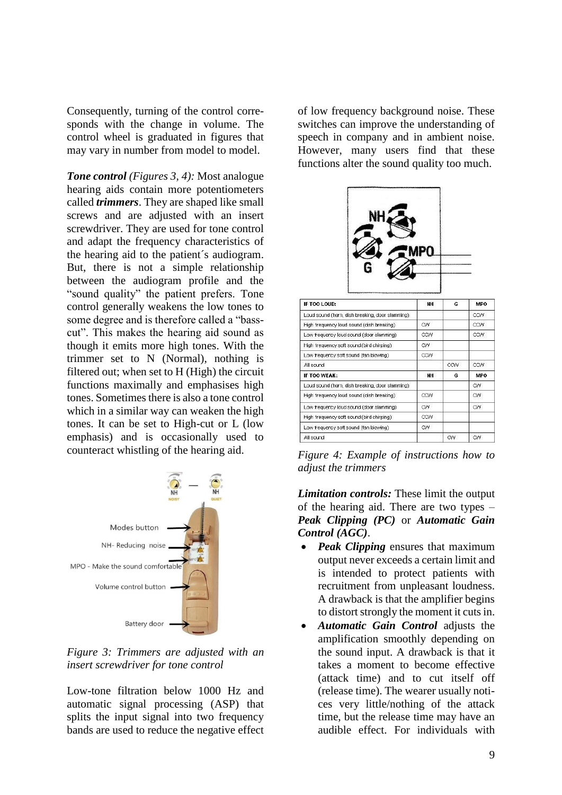Consequently, turning of the control corresponds with the change in volume. The control wheel is graduated in figures that may vary in number from model to model.

*Tone control (Figures 3, 4):* Most analogue hearing aids contain more potentiometers called *trimmers*. They are shaped like small screws and are adjusted with an insert screwdriver. They are used for tone control and adapt the frequency characteristics of the hearing aid to the patient´s audiogram. But, there is not a simple relationship between the audiogram profile and the "sound quality" the patient prefers. Tone control generally weakens the low tones to some degree and is therefore called a "basscut". This makes the hearing aid sound as though it emits more high tones. With the trimmer set to N (Normal), nothing is filtered out; when set to H (High) the circuit functions maximally and emphasises high tones. Sometimes there is also a tone control which in a similar way can weaken the high tones. It can be set to High-cut or L (low emphasis) and is occasionally used to counteract whistling of the hearing aid.



*Figure 3: Trimmers are adjusted with an insert screwdriver for tone control*

Low-tone filtration below 1000 Hz and automatic signal processing (ASP) that splits the input signal into two frequency bands are used to reduce the negative effect of low frequency background noise. These switches can improve the understanding of speech in company and in ambient noise. However, many users find that these functions alter the sound quality too much.



| IF TOO LOUD:                                     | NН        | G   | MPO        |
|--------------------------------------------------|-----------|-----|------------|
| Loud sound (horn, dish breaking, door slamming). |           |     | CCW.       |
| High frequency loud sound (dish breaking).       | CW        |     | CCW        |
| Low frequency loud sound (door slamming)         | CCW       |     | CCW        |
| High frequency soft sound (bird chirping)        | CW.       |     |            |
| Low frequency soft sound (fan blowing)           | CCW       |     |            |
| All sound                                        |           | CCW | CCW        |
| IF TOO WEAK:                                     | <b>NH</b> | G   | <b>MPO</b> |
| Loud sound (horn, dish breaking, door slamming)  |           |     | CVV.       |
| High frequency loud sound (dish breaking).       | CCW       |     | CVV.       |
| Low frequency loud sound (door slamming)         | <b>CW</b> |     | CVV.       |
| High frequency soft sound (bird chirping)        | CCW       |     |            |
| Low frequency soft sound (fan blowing)           | CW.       |     |            |
| All sound                                        |           | CW  | <b>CW</b>  |

*Figure 4: Example of instructions how to adjust the trimmers*

*Limitation controls:* These limit the output of the hearing aid. There are two types – *Peak Clipping (PC)* or *Automatic Gain Control (AGC)*.

- *Peak Clipping* ensures that maximum output never exceeds a certain limit and is intended to protect patients with recruitment from unpleasant loudness. A drawback is that the amplifier begins to distort strongly the moment it cuts in.
- *Automatic Gain Control* adjusts the amplification smoothly depending on the sound input. A drawback is that it takes a moment to become effective (attack time) and to cut itself off (release time). The wearer usually notices very little/nothing of the attack time, but the release time may have an audible effect. For individuals with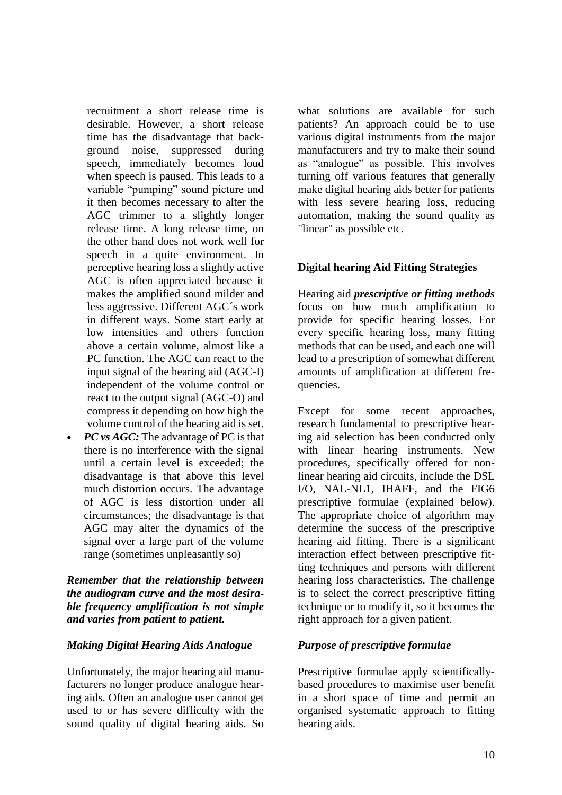recruitment a short release time is desirable. However, a short release time has the disadvantage that background noise, suppressed during speech, immediately becomes loud when speech is paused. This leads to a variable "pumping" sound picture and it then becomes necessary to alter the AGC trimmer to a slightly longer release time. A long release time, on the other hand does not work well for speech in a quite environment. In perceptive hearing loss a slightly active AGC is often appreciated because it makes the amplified sound milder and less aggressive. Different AGC´s work in different ways. Some start early at low intensities and others function above a certain volume, almost like a PC function. The AGC can react to the input signal of the hearing aid (AGC-I) independent of the volume control or react to the output signal (AGC-O) and compress it depending on how high the volume control of the hearing aid is set.

*PC* vs *AGC*: The advantage of PC is that there is no interference with the signal until a certain level is exceeded; the disadvantage is that above this level much distortion occurs. The advantage of AGC is less distortion under all circumstances; the disadvantage is that AGC may alter the dynamics of the signal over a large part of the volume range (sometimes unpleasantly so)

### *Remember that the relationship between the audiogram curve and the most desirable frequency amplification is not simple and varies from patient to patient.*

### *Making Digital Hearing Aids Analogue*

Unfortunately, the major hearing aid manufacturers no longer produce analogue hearing aids. Often an analogue user cannot get used to or has severe difficulty with the sound quality of digital hearing aids. So

what solutions are available for such patients? An approach could be to use various digital instruments from the major manufacturers and try to make their sound as "analogue" as possible. This involves turning off various features that generally make digital hearing aids better for patients with less severe hearing loss, reducing automation, making the sound quality as "linear" as possible etc.

# **Digital hearing Aid Fitting Strategies**

Hearing aid *prescriptive or fitting methods* focus on how much amplification to provide for specific hearing losses. For every specific hearing loss, many fitting methods that can be used, and each one will lead to a prescription of somewhat different amounts of amplification at different frequencies.

Except for some recent approaches, research fundamental to prescriptive hearing aid selection has been conducted only with linear hearing instruments. New procedures, specifically offered for nonlinear hearing aid circuits, include the DSL I/O, NAL-NL1, IHAFF, and the FIG6 prescriptive formulae (explained below). The appropriate choice of algorithm may determine the success of the prescriptive hearing aid fitting. There is a significant interaction effect between prescriptive fitting techniques and persons with different hearing loss characteristics. The challenge is to select the correct prescriptive fitting technique or to modify it, so it becomes the right approach for a given patient.

# *Purpose of prescriptive formulae*

Prescriptive formulae apply scientificallybased procedures to maximise user benefit in a short space of time and permit an organised systematic approach to fitting hearing aids.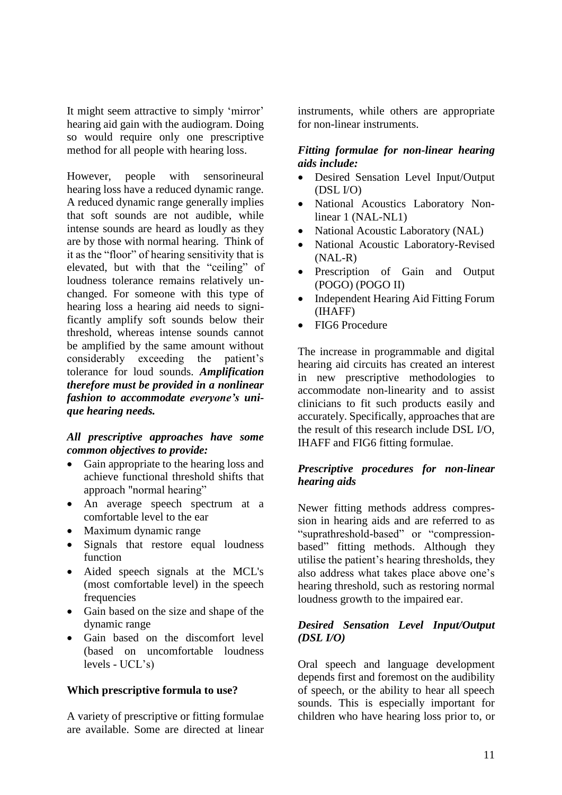It might seem attractive to simply 'mirror' hearing aid gain with the audiogram. Doing so would require only one prescriptive method for all people with hearing loss.

However, people with sensorineural hearing loss have a reduced dynamic range. A reduced dynamic range generally implies that soft sounds are not audible, while intense sounds are heard as loudly as they are by those with normal hearing. Think of it as the "floor" of hearing sensitivity that is elevated, but with that the "ceiling" of loudness tolerance remains relatively unchanged. For someone with this type of hearing loss a hearing aid needs to significantly amplify soft sounds below their threshold, whereas intense sounds cannot be amplified by the same amount without considerably exceeding the patient's tolerance for loud sounds. *Amplification therefore must be provided in a nonlinear fashion to accommodate everyone's unique hearing needs.* 

### *All prescriptive approaches have some common objectives to provide:*

- Gain appropriate to the hearing loss and achieve functional threshold shifts that approach "normal hearing"
- An average speech spectrum at a comfortable level to the ear
- Maximum dynamic range
- Signals that restore equal loudness function
- Aided speech signals at the MCL's (most comfortable level) in the speech frequencies
- Gain based on the size and shape of the dynamic range
- Gain based on the discomfort level (based on uncomfortable loudness levels - UCL's)

# **Which prescriptive formula to use?**

A variety of prescriptive or fitting formulae are available. Some are directed at linear instruments, while others are appropriate for non-linear instruments.

### *Fitting formulae for non-linear hearing aids include:*

- Desired Sensation Level Input/Output (DSL I/O)
- National Acoustics Laboratory Nonlinear 1 (NAL-NL1)
- National Acoustic Laboratory (NAL)
- National Acoustic Laboratory-Revised (NAL-R)
- Prescription of Gain and Output (POGO) (POGO II)
- Independent Hearing Aid Fitting Forum (IHAFF)
- FIG6 Procedure

The increase in programmable and digital hearing aid circuits has created an interest in new prescriptive methodologies to accommodate non-linearity and to assist clinicians to fit such products easily and accurately. Specifically, approaches that are the result of this research include DSL I/O, IHAFF and FIG6 fitting formulae.

# *Prescriptive procedures for non-linear hearing aids*

Newer fitting methods address compression in hearing aids and are referred to as "suprathreshold-based" or "compressionbased" fitting methods. Although they utilise the patient's hearing thresholds, they also address what takes place above one's hearing threshold, such as restoring normal loudness growth to the impaired ear.

# *Desired Sensation Level Input/Output (DSL I/O)*

Oral speech and language development depends first and foremost on the audibility of speech, or the ability to hear all speech sounds. This is especially important for children who have hearing loss prior to, or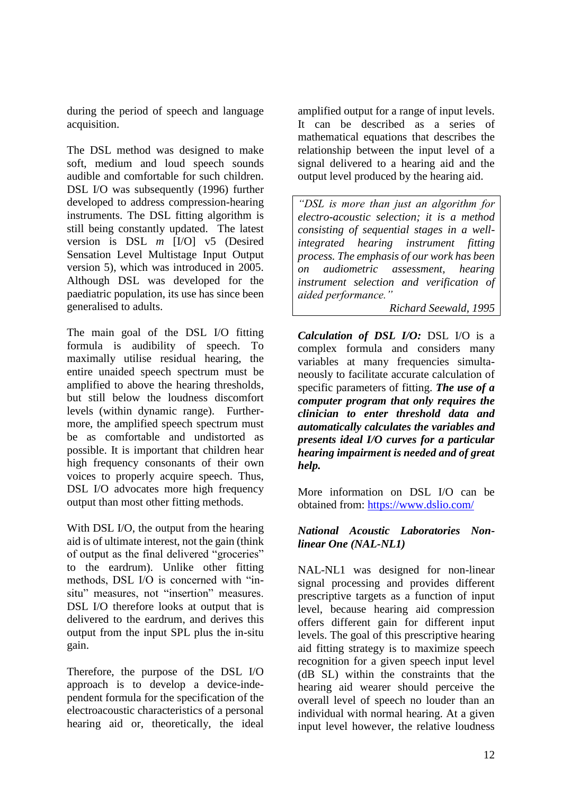during the period of speech and language acquisition.

The DSL method was designed to make soft, medium and loud speech sounds audible and comfortable for such children. DSL I/O was subsequently (1996) further developed to address compression-hearing instruments. The DSL fitting algorithm is still being constantly updated. The latest version is DSL *m* [I/O] v5 (Desired Sensation Level Multistage Input Output version 5), which was introduced in 2005. Although DSL was developed for the paediatric population, its use has since been generalised to adults.

The main goal of the DSL I/O fitting formula is audibility of speech. To maximally utilise residual hearing, the entire unaided speech spectrum must be amplified to above the hearing thresholds, but still below the loudness discomfort levels (within dynamic range). Furthermore, the amplified speech spectrum must be as comfortable and undistorted as possible. It is important that children hear high frequency consonants of their own voices to properly acquire speech. Thus, DSL I/O advocates more high frequency output than most other fitting methods.

With DSL I/O, the output from the hearing aid is of ultimate interest, not the gain (think of output as the final delivered "groceries" to the eardrum). Unlike other fitting methods, DSL I/O is concerned with "insitu" measures, not "insertion" measures. DSL I/O therefore looks at output that is delivered to the eardrum, and derives this output from the input SPL plus the in-situ gain.

Therefore, the purpose of the DSL I/O approach is to develop a device-independent formula for the specification of the electroacoustic characteristics of a personal hearing aid or, theoretically, the ideal

amplified output for a range of input levels. It can be described as a series of mathematical equations that describes the relationship between the input level of a signal delivered to a hearing aid and the output level produced by the hearing aid.

*"DSL is more than just an algorithm for electro-acoustic selection; it is a method consisting of sequential stages in a wellintegrated hearing instrument fitting process. The emphasis of our work has been on audiometric assessment, hearing instrument selection and verification of aided performance."*

*Richard Seewald, 1995*

*Calculation of DSL I/O:* DSL I/O is a complex formula and considers many variables at many frequencies simultaneously to facilitate accurate calculation of specific parameters of fitting. *The use of a computer program that only requires the clinician to enter threshold data and automatically calculates the variables and presents ideal I/O curves for a particular hearing impairment is needed and of great help.*

More information on DSL I/O can be obtained from:<https://www.dslio.com/>

# *National Acoustic Laboratories Nonlinear One (NAL-NL1)*

NAL-NL1 was designed for non-linear signal processing and provides different prescriptive targets as a function of input level, because hearing aid compression offers different gain for different input levels. The goal of this prescriptive hearing aid fitting strategy is to maximize speech recognition for a given speech input level (dB SL) within the constraints that the hearing aid wearer should perceive the overall level of speech no louder than an individual with normal hearing. At a given input level however, the relative loudness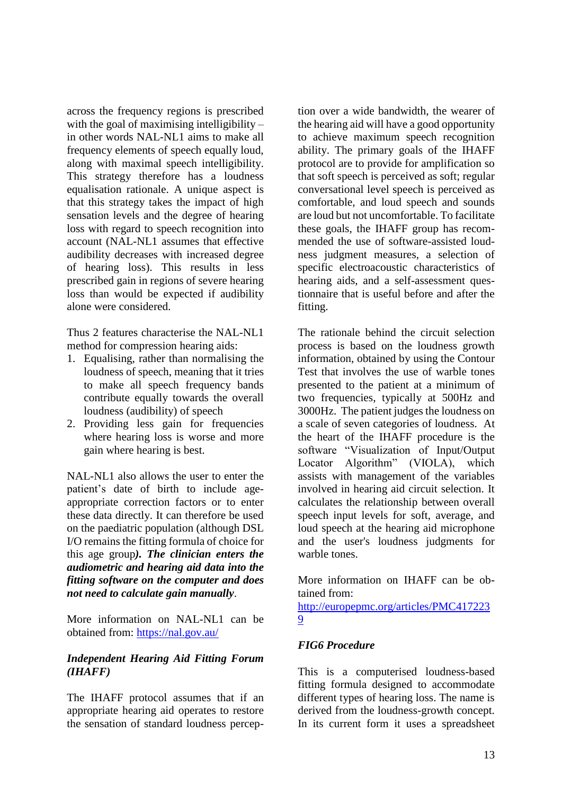across the frequency regions is prescribed with the goal of maximising intelligibility – in other words NAL-NL1 aims to make all frequency elements of speech equally loud, along with maximal speech intelligibility. This strategy therefore has a loudness equalisation rationale. A unique aspect is that this strategy takes the impact of high sensation levels and the degree of hearing loss with regard to speech recognition into account (NAL-NL1 assumes that effective audibility decreases with increased degree of hearing loss). This results in less prescribed gain in regions of severe hearing loss than would be expected if audibility alone were considered.

Thus 2 features characterise the NAL-NL1 method for compression hearing aids:

- 1. Equalising, rather than normalising the loudness of speech, meaning that it tries to make all speech frequency bands contribute equally towards the overall loudness (audibility) of speech
- 2. Providing less gain for frequencies where hearing loss is worse and more gain where hearing is best.

NAL-NL1 also allows the user to enter the patient's date of birth to include ageappropriate correction factors or to enter these data directly. It can therefore be used on the paediatric population (although DSL I/O remains the fitting formula of choice for this age group*). The clinician enters the audiometric and hearing aid data into the fitting software on the computer and does not need to calculate gain manually*.

More information on NAL-NL1 can be obtained from: <https://nal.gov.au/>

# *Independent Hearing Aid Fitting Forum (IHAFF)*

The IHAFF protocol assumes that if an appropriate hearing aid operates to restore the sensation of standard loudness perception over a wide bandwidth, the wearer of the hearing aid will have a good opportunity to achieve maximum speech recognition ability. The primary goals of the IHAFF protocol are to provide for amplification so that soft speech is perceived as soft; regular conversational level speech is perceived as comfortable, and loud speech and sounds are loud but not uncomfortable. To facilitate these goals, the IHAFF group has recommended the use of software-assisted loudness judgment measures, a selection of specific electroacoustic characteristics of hearing aids, and a self-assessment questionnaire that is useful before and after the fitting.

The rationale behind the circuit selection process is based on the loudness growth information, obtained by using the Contour Test that involves the use of warble tones presented to the patient at a minimum of two frequencies, typically at 500Hz and 3000Hz. The patient judges the loudness on a scale of seven categories of loudness. At the heart of the IHAFF procedure is the software "Visualization of Input/Output Locator Algorithm" (VIOLA), which assists with management of the variables involved in hearing aid circuit selection. It calculates the relationship between overall speech input levels for soft, average, and loud speech at the hearing aid microphone and the user's loudness judgments for warble tones.

More information on IHAFF can be obtained from:

[http://europepmc.org/articles/PMC417223](http://europepmc.org/articles/PMC4172239) [9](http://europepmc.org/articles/PMC4172239)

# *FIG6 Procedure*

This is a computerised loudness-based fitting formula designed to accommodate different types of hearing loss. The name is derived from the loudness-growth concept. In its current form it uses a spreadsheet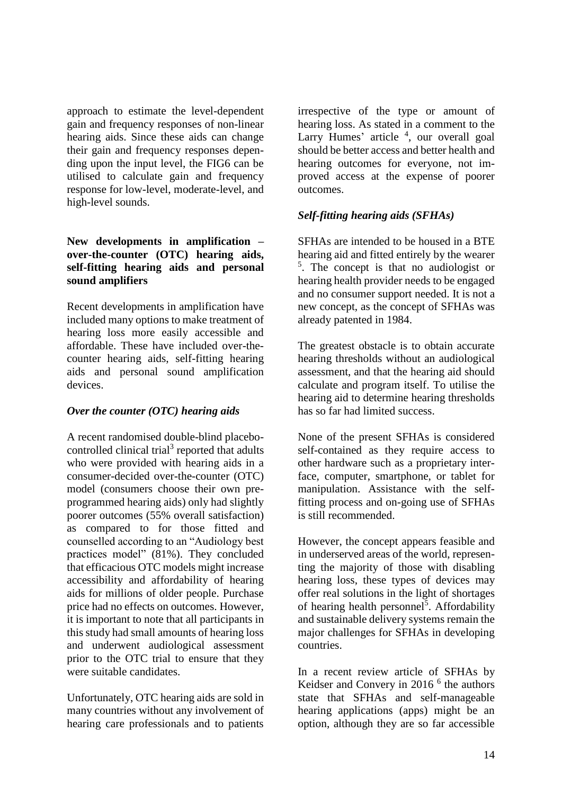approach to estimate the level-dependent gain and frequency responses of non-linear hearing aids. Since these aids can change their gain and frequency responses depending upon the input level, the FIG6 can be utilised to calculate gain and frequency response for low-level, moderate-level, and high-level sounds.

# **New developments in amplification – over-the-counter (OTC) hearing aids, self-fitting hearing aids and personal sound amplifiers**

Recent developments in amplification have included many options to make treatment of hearing loss more easily accessible and affordable. These have included over-thecounter hearing aids, self-fitting hearing aids and personal sound amplification devices.

# *Over the counter (OTC) hearing aids*

A recent randomised double-blind placebocontrolled clinical trial<sup>3</sup> reported that adults who were provided with hearing aids in a consumer-decided over-the-counter (OTC) model (consumers choose their own preprogrammed hearing aids) only had slightly poorer outcomes (55% overall satisfaction) as compared to for those fitted and counselled according to an "Audiology best practices model" (81%). They concluded that efficacious OTC models might increase accessibility and affordability of hearing aids for millions of older people. Purchase price had no effects on outcomes. However, it is important to note that all participants in this study had small amounts of hearing loss and underwent audiological assessment prior to the OTC trial to ensure that they were suitable candidates.

Unfortunately, OTC hearing aids are sold in many countries without any involvement of hearing care professionals and to patients

irrespective of the type or amount of hearing loss. As stated in a comment to the Larry Humes' article <sup>4</sup>, our overall goal should be better access and better health and hearing outcomes for everyone, not improved access at the expense of poorer outcomes.

# *Self-fitting hearing aids (SFHAs)*

SFHAs are intended to be housed in a BTE hearing aid and fitted entirely by the wearer 5 . The concept is that no audiologist or hearing health provider needs to be engaged and no consumer support needed. It is not a new concept, as the concept of SFHAs was already patented in 1984.

The greatest obstacle is to obtain accurate hearing thresholds without an audiological assessment, and that the hearing aid should calculate and program itself. To utilise the hearing aid to determine hearing thresholds has so far had limited success.

None of the present SFHAs is considered self-contained as they require access to other hardware such as a proprietary interface, computer, smartphone, or tablet for manipulation. Assistance with the selffitting process and on-going use of SFHAs is still recommended.

However, the concept appears feasible and in underserved areas of the world, representing the majority of those with disabling hearing loss, these types of devices may offer real solutions in the light of shortages of hearing health personnel<sup>5</sup>. Affordability and sustainable delivery systems remain the major challenges for SFHAs in developing countries.

In a recent review article of SFHAs by Keidser and Convery in 2016<sup>6</sup> the authors state that SFHAs and self-manageable hearing applications (apps) might be an option, although they are so far accessible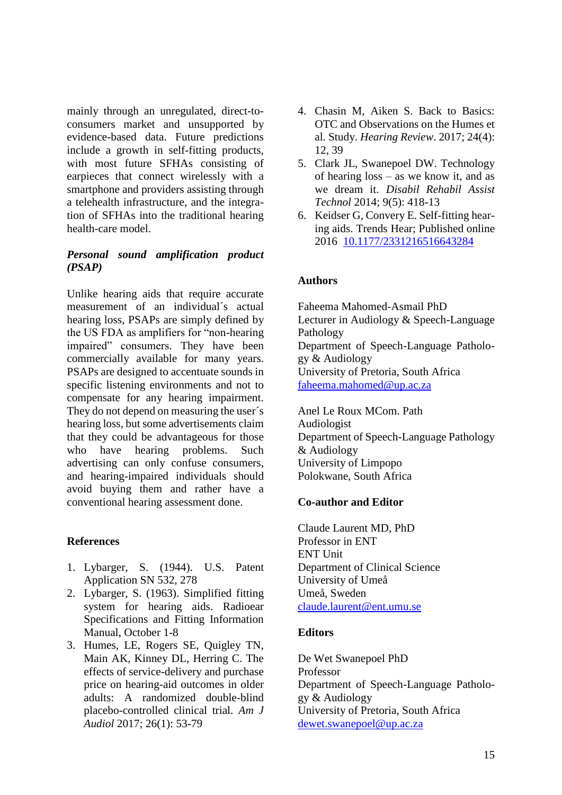mainly through an unregulated, direct-toconsumers market and unsupported by evidence-based data. Future predictions include a growth in self-fitting products, with most future SFHAs consisting of earpieces that connect wirelessly with a smartphone and providers assisting through a telehealth infrastructure, and the integration of SFHAs into the traditional hearing health-care model.

# *Personal sound amplification product (PSAP)*

Unlike hearing aids that require accurate measurement of an individual´s actual hearing loss, PSAPs are simply defined by the US FDA as amplifiers for "non-hearing impaired" consumers. They have been commercially available for many years. PSAPs are designed to accentuate sounds in specific listening environments and not to compensate for any hearing impairment. They do not depend on measuring the user´s hearing loss, but some advertisements claim that they could be advantageous for those who have hearing problems. Such advertising can only confuse consumers, and hearing-impaired individuals should avoid buying them and rather have a conventional hearing assessment done.

# **References**

- 1. Lybarger, S. (1944). U.S. Patent Application SN 532, 278
- 2. Lybarger, S. (1963). Simplified fitting system for hearing aids. Radioear Specifications and Fitting Information Manual, October 1-8
- 3. Humes, LE, Rogers SE, Quigley TN, Main AK, Kinney DL, Herring C. The effects of service-delivery and purchase price on hearing-aid outcomes in older adults: A randomized double-blind placebo-controlled clinical trial. *Am J Audiol* 2017; 26(1): 53-79
- 4. Chasin M, Aiken S. Back to Basics: OTC and Observations on the Humes et al. Study. *Hearing Review*. 2017; 24(4): 12, 39
- 5. Clark JL, Swanepoel DW. Technology of hearing loss – as we know it, and as we dream it. *Disabil Rehabil Assist Technol* 2014; 9(5): 418-13
- 6. Keidser G, Convery E. Self-fitting hearing aids. Trends Hear; Published online 2016 [10.1177/2331216516643284](https://dx.doi.org/10.1177%2F2331216516643284)

# **Authors**

Faheema Mahomed-Asmail PhD Lecturer in Audiology & Speech-Language Pathology Department of Speech-Language Pathology & Audiology University of Pretoria, South Africa [faheema.mahomed@up.ac.za](mailto:faheema.mahomed@up.ac.za)

Anel Le Roux MCom. Path Audiologist Department of Speech-Language Pathology & Audiology University of Limpopo Polokwane, South Africa

# **Co-author and Editor**

Claude Laurent MD, PhD Professor in ENT ENT Unit Department of Clinical Science University of Umeå Umeå, Sweden [claude.laurent@ent.umu.se](mailto:claude.laurent@ent.umu.se)

# **Editors**

De Wet Swanepoel PhD Professor Department of Speech-Language Pathology & Audiology University of Pretoria, South Africa [dewet.swanepoel@up.ac.za](mailto:dewet.swanepoel@up.ac.za)